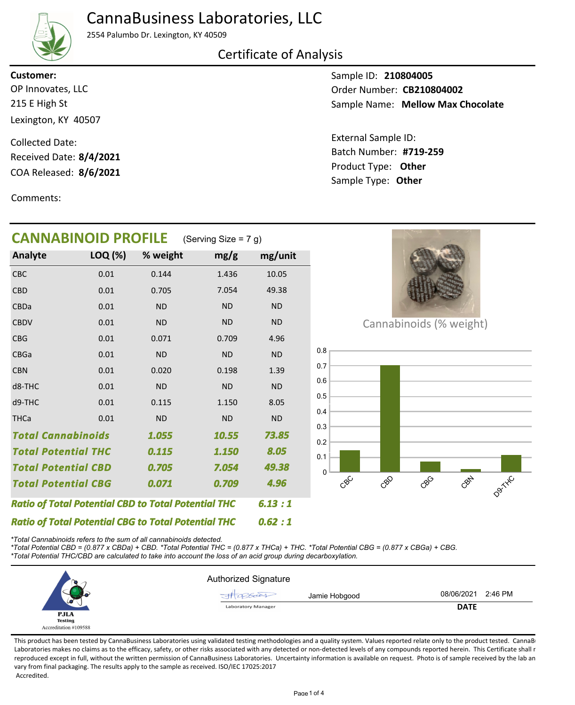## CannaBusiness Laboratories, LLC



2554 Palumbo Dr. Lexington, KY 40509

#### Certificate of Analysis

215 E High St Lexington, KY 40507 OP Innovates, LLC **Customer:**

COA Released: 8/6/2021 Collected Date: Received Date: **8/4/2021**

Comments:

Sample ID: **210804005** Sample Name: Mellow Max Chocolate Order Number: CB210804002

Product Type: **Other 8/6/2021 #719-259** Batch Number: External Sample ID: Sample Type: **Other**

| <b>CANNABINOID PROFILE</b><br>(Serving Size = $7 g$ )      |         |           |           |           |  |  |  |  |
|------------------------------------------------------------|---------|-----------|-----------|-----------|--|--|--|--|
| Analyte                                                    | LOQ (%) | % weight  | mg/g      | mg/unit   |  |  |  |  |
| CBC                                                        | 0.01    | 0.144     | 1.436     | 10.05     |  |  |  |  |
| <b>CBD</b>                                                 | 0.01    | 0.705     | 7.054     | 49.38     |  |  |  |  |
| CBDa                                                       | 0.01    | <b>ND</b> | <b>ND</b> | <b>ND</b> |  |  |  |  |
| <b>CBDV</b>                                                | 0.01    | <b>ND</b> | <b>ND</b> | <b>ND</b> |  |  |  |  |
| <b>CBG</b>                                                 | 0.01    | 0.071     | 0.709     | 4.96      |  |  |  |  |
| <b>CBGa</b>                                                | 0.01    | <b>ND</b> | <b>ND</b> | <b>ND</b> |  |  |  |  |
| <b>CBN</b>                                                 | 0.01    | 0.020     | 0.198     | 1.39      |  |  |  |  |
| d8-THC                                                     | 0.01    | <b>ND</b> | <b>ND</b> | <b>ND</b> |  |  |  |  |
| d9-THC                                                     | 0.01    | 0.115     | 1.150     | 8.05      |  |  |  |  |
| <b>THCa</b>                                                | 0.01    | <b>ND</b> | <b>ND</b> | <b>ND</b> |  |  |  |  |
| <b>Total Cannabinoids</b>                                  |         | 1.055     | 10.55     | 73.85     |  |  |  |  |
| <b>Total Potential THC</b>                                 |         | 0.115     | 1.150     | 8.05      |  |  |  |  |
| <b>Total Potential CBD</b>                                 |         | 0.705     | 7.054     | 49.38     |  |  |  |  |
| <b>Total Potential CBG</b>                                 |         | 0.071     | 0.709     | 4.96      |  |  |  |  |
| <b>Ratio of Total Potential CBD to Total Potential THC</b> |         |           |           | 6.13:1    |  |  |  |  |
| <b>Ratio of Total Potential CBG to Total Potential THC</b> |         |           |           | 0.62:1    |  |  |  |  |



Cannabinoids (% weight)



*\*Total Cannabinoids refers to the sum of all cannabinoids detected.*

*\*Total Potential CBD = (0.877 x CBDa) + CBD. \*Total Potential THC = (0.877 x THCa) + THC. \*Total Potential CBG = (0.877 x CBGa) + CBG.*

*\*Total Potential THC/CBD are calculated to take into account the loss of an acid group during decarboxylation.*

|                               | <b>Authorized Signature</b>  |                       |
|-------------------------------|------------------------------|-----------------------|
|                               | Jamie Hobgood<br>$-41266001$ | 08/06/2021<br>2:46 PM |
| س                             | <b>Laboratory Manager</b>    | <b>DATE</b>           |
| <b>PJLA</b><br><b>Testing</b> |                              |                       |
| Accreditation #109588         |                              |                       |

This product has been tested by CannaBusiness Laboratories using validated testing methodologies and a quality system. Values reported relate only to the product tested. CannaB Laboratories makes no claims as to the efficacy, safety, or other risks associated with any detected or non-detected levels of any compounds reported herein. This Certificate shall r reproduced except in full, without the written permission of CannaBusiness Laboratories. Uncertainty information is available on request. Photo is of sample received by the lab an vary from final packaging. The results apply to the sample as received. ISO/IEC 17025:2017 Accredited.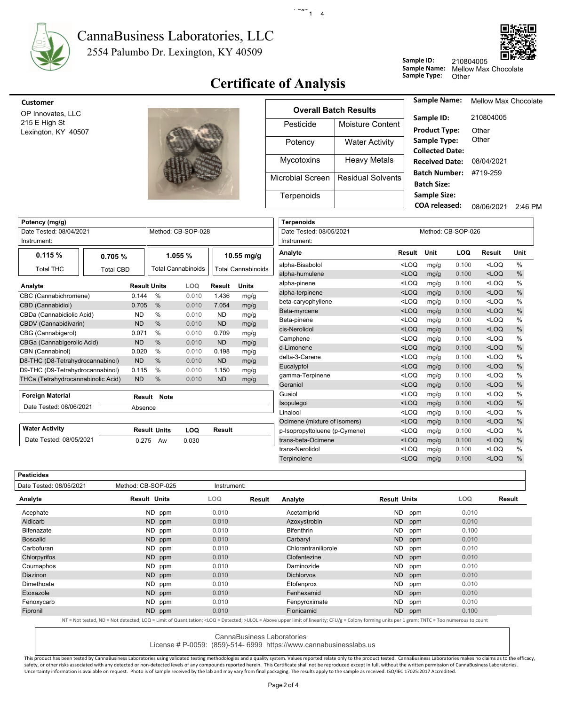

#### 2554 Palumbo Dr. Lexington, KY 40509 CannaBusiness Laboratories, LLC



#### **Certificate of Analysis** Sample Type: Other

 $\cdot$  -  $\cdot$  -  $\cdot$  1  $\cdot$  4

| customer      |
|---------------|
| OP Innovates. |

**Pesticides**



| <b>Customer</b>                      |                   |                              |                                             |  |  |  |
|--------------------------------------|-------------------|------------------------------|---------------------------------------------|--|--|--|
| OP Innovates, LLC                    |                   | <b>Overall Batch Results</b> |                                             |  |  |  |
| 215 E High St<br>Lexington, KY 40507 | Pesticide         | Moisture Content             | Sample ID:<br><b>Product Type:</b>          |  |  |  |
|                                      | Potency           | <b>Water Activity</b>        | Sample Type:<br><b>Collected Date</b>       |  |  |  |
|                                      | <b>Mycotoxins</b> | <b>Heavy Metals</b>          | <b>Received Date</b>                        |  |  |  |
|                                      | Microbial Screen  | Residual Solvents            | <b>Batch Number</b><br><b>Batch Size:</b>   |  |  |  |
|                                      | Terpenoids        |                              | <b>Sample Size:</b><br><b>COA</b> released: |  |  |  |

| Sample Name:           | <b>Mellow Max Chocolate</b> |         |
|------------------------|-----------------------------|---------|
| Sample ID:             | 210804005                   |         |
| <b>Product Type:</b>   | Other                       |         |
| Sample Type:           | Other                       |         |
| <b>Collected Date:</b> |                             |         |
| <b>Received Date:</b>  | 08/04/2021                  |         |
| Batch Number:          | #719-259                    |         |
| <b>Batch Size:</b>     |                             |         |
| <b>Sample Size:</b>    |                             |         |
| COA released:          | 08/06/2021                  | 2.46 PM |
|                        |                             |         |

Sample Name: Mellow Max Chocolate

210804005

**Sample ID:**

| Potency (mg/g)                                |                  |           |                     |                    |           |                           | <b>Terpenoids</b>             |         |                    |            |               |      |
|-----------------------------------------------|------------------|-----------|---------------------|--------------------|-----------|---------------------------|-------------------------------|---------|--------------------|------------|---------------|------|
| Method: CB-SOP-028<br>Date Tested: 08/04/2021 |                  |           |                     |                    |           | Date Tested: 08/05/2021   |                               |         | Method: CB-SOP-026 |            |               |      |
| Instrument:                                   |                  |           |                     |                    |           |                           | Instrument:                   |         |                    |            |               |      |
| 0.115%                                        | 0.705%           |           |                     | 1.055 %            |           | 10.55 mg/g                | Analyte                       | Result  | Unit               | <b>LOQ</b> | <b>Result</b> | Unit |
| <b>Total THC</b>                              |                  |           |                     | Total Cannabinoids |           | <b>Total Cannabinoids</b> | alpha-Bisabolol               | $<$ LOQ | mg/g               | 0.100      | $<$ LOQ       | %    |
|                                               | <b>Total CBD</b> |           |                     |                    |           |                           | alpha-humulene                | $<$ LOQ | mg/g               | 0.100      | $<$ LOQ       | $\%$ |
| Analyte                                       |                  |           | <b>Result Units</b> | LOQ                | Result    | <b>Units</b>              | alpha-pinene                  | $<$ LOQ | mg/g               | 0.100      | $<$ LOQ       | %    |
| CBC (Cannabichromene)                         |                  | 0.144     | $\%$                | 0.010              | 1.436     | mg/g                      | alpha-terpinene               | $<$ LOQ | mg/g               | 0.100      | $<$ LOQ       | $\%$ |
| CBD (Cannabidiol)                             |                  | 0.705     | $\%$                | 0.010              | 7.054     | mg/g                      | beta-caryophyllene            | $<$ LOQ | mg/g               | 0.100      | $<$ LOQ       | $\%$ |
| CBDa (Cannabidiolic Acid)                     |                  | <b>ND</b> | %                   | 0.010              | <b>ND</b> | mg/g                      | Beta-myrcene                  | $<$ LOQ | mg/g               | 0.100      | $<$ LOQ       | $\%$ |
| CBDV (Cannabidivarin)                         |                  | <b>ND</b> | $\%$                | 0.010              | <b>ND</b> | mg/g                      | Beta-pinene                   | $<$ LOQ | mg/g               | 0.100      | $<$ LOQ       | $\%$ |
| CBG (Cannabigerol)                            |                  | 0.071     | $\%$                | 0.010              | 0.709     | mg/g                      | cis-Nerolidol                 | $<$ LOQ | mg/g               | 0.100      | $<$ LOQ       | $\%$ |
| CBGa (Cannabigerolic Acid)                    |                  | <b>ND</b> | $\frac{0}{0}$       | 0.010              | <b>ND</b> | mg/g                      | Camphene                      | $<$ LOQ | mg/g               | 0.100      | $<$ LOQ       | $\%$ |
| CBN (Cannabinol)                              |                  | 0.020     | $\%$                | 0.010              | 0.198     | mg/g                      | d-Limonene                    | $<$ LOQ | mg/g               | 0.100      | $<$ LOQ       | $\%$ |
| D8-THC (D8-Tetrahydrocannabinol)              |                  | <b>ND</b> | %                   | 0.010              | <b>ND</b> | mg/g                      | delta-3-Carene                | $<$ LOQ | mg/g               | 0.100      | $<$ LOQ       | $\%$ |
| D9-THC (D9-Tetrahydrocannabinol)              |                  | 0.115     | $\%$                | 0.010              | 1.150     | mg/g                      | Eucalyptol                    | $<$ LOQ | mg/g               | 0.100      | $<$ LOQ       | $\%$ |
| THCa (Tetrahydrocannabinolic Acid)            |                  | <b>ND</b> | %                   | 0.010              | <b>ND</b> | mg/g                      | gamma-Terpinene               | $<$ LOQ | mg/g               | 0.100      | $<$ LOQ       | $\%$ |
|                                               |                  |           |                     |                    |           |                           | Geraniol                      | $<$ LOQ | mg/g               | 0.100      | $<$ LOQ       | $\%$ |
| <b>Foreign Material</b>                       |                  |           | Result Note         |                    |           |                           | Guaiol                        | $<$ LOQ | mg/g               | 0.100      | $<$ LOQ       | $\%$ |
| Date Tested: 08/06/2021                       |                  | Absence   |                     |                    |           |                           | Isopulegol                    | $<$ LOQ | mg/g               | 0.100      | $<$ LOQ       | $\%$ |
|                                               |                  |           |                     |                    |           |                           | Linalool                      | $<$ LOQ | mg/g               | 0.100      | $<$ LOQ       | %    |
|                                               |                  |           |                     |                    |           |                           | Ocimene (mixture of isomers)  | $<$ LOQ | mg/g               | 0.100      | $<$ LOQ       | $\%$ |
| <b>Water Activity</b>                         |                  |           | <b>Result Units</b> | LOQ                | Result    |                           | p-Isopropyltoluene (p-Cymene) | $<$ LOQ | mg/g               | 0.100      | $<$ LOQ       | $\%$ |
| Date Tested: 08/05/2021                       |                  | 0.275     | Aw                  | 0.030              |           |                           | trans-beta-Ocimene            | $<$ LOQ | mg/g               | 0.100      | $<$ LOQ       | $\%$ |
|                                               |                  |           |                     |                    |           |                           | trans-Nerolidol               | $<$ LOQ | mg/g               | 0.100      | $<$ LOQ       | $\%$ |
|                                               |                  |           |                     |                    |           |                           | Terpinolene                   | $<$ LOQ | mg/g               | 0.100      | $<$ LOQ       | $\%$ |
|                                               |                  |           |                     |                    |           |                           |                               |         |                    |            |               |      |

| Date Tested: 08/05/2021 | Method: CB-SOP-025  |        | Instrument: |        |                     |                     |     |       |        |
|-------------------------|---------------------|--------|-------------|--------|---------------------|---------------------|-----|-------|--------|
| Analyte                 | <b>Result Units</b> | LOQ    |             | Result | Analyte             | <b>Result Units</b> |     | LOQ   | Result |
| Acephate                |                     | ND ppm | 0.010       |        | Acetamiprid         | ND                  | ppm | 0.010 |        |
| Aldicarb                |                     | ND ppm | 0.010       |        | Azoxystrobin        | ND                  | ppm | 0.010 |        |
| <b>Bifenazate</b>       |                     | ND ppm | 0.010       |        | <b>Bifenthrin</b>   | ND.                 | ppm | 0.100 |        |
| <b>Boscalid</b>         |                     | ND ppm | 0.010       |        | Carbaryl            | <b>ND</b>           | ppm | 0.010 |        |
| Carbofuran              |                     | ND ppm | 0.010       |        | Chlorantraniliprole | <b>ND</b>           | ppm | 0.010 |        |
| Chlorpyrifos            |                     | ND ppm | 0.010       |        | Clofentezine        | <b>ND</b>           | ppm | 0.010 |        |
| Coumaphos               |                     | ND ppm | 0.010       |        | Daminozide          | ND.                 | ppm | 0.010 |        |
| <b>Diazinon</b>         |                     | ND ppm | 0.010       |        | <b>Dichlorvos</b>   | <b>ND</b>           | ppm | 0.010 |        |
| Dimethoate              |                     | ND ppm | 0.010       |        | Etofenprox          | ND                  | ppm | 0.010 |        |
| Etoxazole               |                     | ND ppm | 0.010       |        | Fenhexamid          | <b>ND</b>           | ppm | 0.010 |        |
| Fenoxycarb              |                     | ND ppm | 0.010       |        | Fenpyroximate       | <b>ND</b>           | ppm | 0.010 |        |
| Fipronil                |                     | ND ppm | 0.010       |        | Flonicamid          | ND                  | ppm | 0.100 |        |

NT = Not tested, ND = Not detected; LOQ = Limit of Quantitation; <LOQ = Detected; >ULOL = Above upper limit of linearity; CFU/g = Colony forming units per 1 gram; TNTC = Too numerous to count

CannaBusiness Laboratories

License # P-0059: (859)-514- 6999 https://www.cannabusinesslabs.us

This product has been tested by CannaBusiness Laboratories using validated testing methodologies and a quality system. Values reported relate only to the product tested. CannaBusiness Laboratories makes no claims as to the safety, or other risks associated with any detected or non-detected levels of any compounds reported herein. This Certificate shall not be reproduced except in full, without the written permission of CannaBusiness Laborato Uncertainty information is available on request. Photo is of sample received by the lab and may vary from final packaging. The results apply to the sample as received. ISO/IEC 17025:2017 Accredited.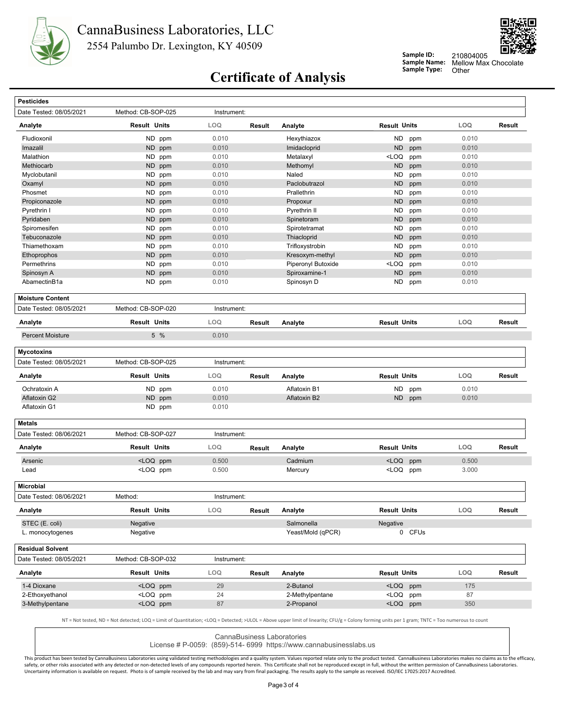



**Sample ID: Sample Name:**

Mellow Max Chocolate<br>Other 210804005

# **Certificate of Analysis** Sample Type:

| <b>Pesticides</b>                    |                                                                                                                                                                                                             |                |        |                    |                                                                                         |        |                |               |
|--------------------------------------|-------------------------------------------------------------------------------------------------------------------------------------------------------------------------------------------------------------|----------------|--------|--------------------|-----------------------------------------------------------------------------------------|--------|----------------|---------------|
| Date Tested: 08/05/2021              | Method: CB-SOP-025                                                                                                                                                                                          | Instrument:    |        |                    |                                                                                         |        |                |               |
| Analyte                              | <b>Result Units</b>                                                                                                                                                                                         | LOQ            | Result | Analyte            | <b>Result Units</b>                                                                     |        | LOQ            | Result        |
| Fludioxonil                          | ND ppm                                                                                                                                                                                                      | 0.010          |        | Hexythiazox        | ND                                                                                      | ppm    | 0.010          |               |
| Imazalil                             | ND ppm                                                                                                                                                                                                      | 0.010          |        | Imidacloprid       | <b>ND</b>                                                                               | ppm    | 0.010          |               |
| Malathion                            | ND ppm                                                                                                                                                                                                      | 0.010          |        | Metalaxyl          | $<$ LOQ                                                                                 | ppm    | 0.010          |               |
| Methiocarb                           | ND ppm                                                                                                                                                                                                      | 0.010          |        | Methomyl           | <b>ND</b>                                                                               | ppm    | 0.010          |               |
| Myclobutanil                         | <b>ND</b><br>ppm                                                                                                                                                                                            | 0.010          |        | Naled              | <b>ND</b>                                                                               | ppm    | 0.010          |               |
| Oxamyl                               | <b>ND</b><br>ppm                                                                                                                                                                                            | 0.010          |        | Paclobutrazol      | <b>ND</b>                                                                               | ppm    | 0.010          |               |
| Phosmet                              | ND.<br>ppm                                                                                                                                                                                                  | 0.010          |        | Prallethrin        | ND                                                                                      | ppm    | 0.010          |               |
| Propiconazole                        | ND ppm                                                                                                                                                                                                      | 0.010          |        | Propoxur           | <b>ND</b>                                                                               | ppm    | 0.010          |               |
| Pyrethrin I                          | ND.<br>ppm                                                                                                                                                                                                  | 0.010          |        | Pyrethrin II       | ND                                                                                      | ppm    | 0.010          |               |
| Pyridaben                            | ND ppm                                                                                                                                                                                                      | 0.010          |        | Spinetoram         | <b>ND</b>                                                                               | ppm    | 0.010          |               |
| Spiromesifen                         | <b>ND</b><br>ppm                                                                                                                                                                                            | 0.010          |        | Spirotetramat      | <b>ND</b>                                                                               | ppm    | 0.010          |               |
| Tebuconazole                         | <b>ND</b><br>ppm                                                                                                                                                                                            | 0.010          |        | Thiacloprid        | <b>ND</b>                                                                               | ppm    | 0.010          |               |
| Thiamethoxam                         | ND ppm                                                                                                                                                                                                      | 0.010          |        | Trifloxystrobin    | ND                                                                                      | ppm    | 0.010          |               |
| Ethoprophos                          | <b>ND</b><br>ppm                                                                                                                                                                                            | 0.010          |        | Kresoxym-methyl    | <b>ND</b>                                                                               | ppm    | 0.010          |               |
| Permethrins                          | ND ppm                                                                                                                                                                                                      | 0.010          |        | Piperonyl Butoxide | <loq< td=""><td>ppm</td><td>0.010</td><td></td></loq<>                                  | ppm    | 0.010          |               |
| Spinosyn A                           | ND<br>ppm                                                                                                                                                                                                   | 0.010          |        | Spiroxamine-1      | <b>ND</b>                                                                               | ppm    | 0.010          |               |
| AbamectinB1a                         | ND ppm                                                                                                                                                                                                      | 0.010          |        | Spinosyn D         | ND.                                                                                     | ppm    | 0.010          |               |
| <b>Moisture Content</b>              |                                                                                                                                                                                                             |                |        |                    |                                                                                         |        |                |               |
| Date Tested: 08/05/2021              | Method: CB-SOP-020                                                                                                                                                                                          | Instrument:    |        |                    |                                                                                         |        |                |               |
| Analyte                              | <b>Result Units</b>                                                                                                                                                                                         | <b>LOQ</b>     | Result | Analyte            | <b>Result Units</b>                                                                     |        | LOQ            | <b>Result</b> |
| <b>Percent Moisture</b>              | 5 %                                                                                                                                                                                                         | 0.010          |        |                    |                                                                                         |        |                |               |
|                                      |                                                                                                                                                                                                             |                |        |                    |                                                                                         |        |                |               |
| <b>Mycotoxins</b>                    |                                                                                                                                                                                                             |                |        |                    |                                                                                         |        |                |               |
| Date Tested: 08/05/2021              | Method: CB-SOP-025                                                                                                                                                                                          | Instrument:    |        |                    |                                                                                         |        |                |               |
| Analyte                              | <b>Result Units</b>                                                                                                                                                                                         | LOQ            | Result | Analyte            | <b>Result Units</b>                                                                     |        | LOQ            | Result        |
| Ochratoxin A                         | ND ppm                                                                                                                                                                                                      | 0.010          |        | Aflatoxin B1       | ND                                                                                      | ppm    | 0.010          |               |
| Aflatoxin G2                         | ND ppm                                                                                                                                                                                                      | 0.010          |        | Aflatoxin B2       | ND .                                                                                    | ppm    | 0.010          |               |
| Aflatoxin G1                         | ND ppm                                                                                                                                                                                                      |                |        |                    |                                                                                         |        |                |               |
|                                      |                                                                                                                                                                                                             | 0.010          |        |                    |                                                                                         |        |                |               |
| <b>Metals</b>                        |                                                                                                                                                                                                             |                |        |                    |                                                                                         |        |                |               |
| Date Tested: 08/06/2021              | Method: CB-SOP-027                                                                                                                                                                                          | Instrument:    |        |                    |                                                                                         |        |                |               |
| Analyte                              | <b>Result Units</b>                                                                                                                                                                                         | LOQ            | Result | Analyte            | <b>Result Units</b>                                                                     |        | LOQ            | Result        |
|                                      |                                                                                                                                                                                                             |                |        |                    |                                                                                         |        |                |               |
| Arsenic<br>Lead                      | <loq ppm<br=""><loq ppm<="" td=""><td>0.500<br/>0.500</td><td></td><td>Cadmium<br/>Mercury</td><td><loq<br><loq ppm<="" td=""><td>ppm</td><td>0.500<br/>3.000</td><td></td></loq></loq<br></td></loq></loq> | 0.500<br>0.500 |        | Cadmium<br>Mercury | <loq<br><loq ppm<="" td=""><td>ppm</td><td>0.500<br/>3.000</td><td></td></loq></loq<br> | ppm    | 0.500<br>3.000 |               |
|                                      |                                                                                                                                                                                                             |                |        |                    |                                                                                         |        |                |               |
| Microbial<br>Date Tested: 08/06/2021 | Method:                                                                                                                                                                                                     | Instrument:    |        |                    |                                                                                         |        |                |               |
| Analyte                              | <b>Result Units</b>                                                                                                                                                                                         | <b>LOQ</b>     | Result | Analyte            | <b>Result Units</b>                                                                     |        | <b>LOQ</b>     | Result        |
| STEC (E. coli)                       | Negative                                                                                                                                                                                                    |                |        | Salmonella         | Negative                                                                                |        |                |               |
| L. monocytogenes                     | Negative                                                                                                                                                                                                    |                |        | Yeast/Mold (qPCR)  |                                                                                         | 0 CFUs |                |               |
| <b>Residual Solvent</b>              |                                                                                                                                                                                                             |                |        |                    |                                                                                         |        |                |               |
| Date Tested: 08/05/2021              | Method: CB-SOP-032                                                                                                                                                                                          | Instrument:    |        |                    |                                                                                         |        |                |               |
| Analyte                              | <b>Result Units</b>                                                                                                                                                                                         | <b>LOQ</b>     | Result | Analyte            | <b>Result Units</b>                                                                     |        | LOQ            | Result        |
| 1-4 Dioxane                          | <loq ppm<="" td=""><td>29</td><td></td><td>2-Butanol</td><td><loq ppm<="" td=""><td></td><td>175</td><td></td></loq></td></loq>                                                                             | 29             |        | 2-Butanol          | <loq ppm<="" td=""><td></td><td>175</td><td></td></loq>                                 |        | 175            |               |
| 2-Ethoxyethanol                      | <loq ppm<br=""><loq ppm<="" td=""><td>24</td><td></td><td>2-Methylpentane</td><td><loq ppm<="" td=""><td></td><td>87</td><td></td></loq></td></loq></loq>                                                   | 24             |        | 2-Methylpentane    | <loq ppm<="" td=""><td></td><td>87</td><td></td></loq>                                  |        | 87             |               |

CannaBusiness Laboratories

License # P-0059: (859)-514- 6999 https://www.cannabusinesslabs.us

This product has been tested by CannaBusiness Laboratories using validated testing methodologies and a quality system. Values reported relate only to the product tested. CannaBusiness Laboratories makes no claims as to the safety, or other risks associated with any detected or non-detected levels of any compounds reported herein. This Certificate shall not be reproduced except in full, without the written permission of CannaBusiness Laborato Uncertainty information is available on request. Photo is of sample received by the lab and may vary from final packaging. The results apply to the sample as received. ISO/IEC 17025:2017 Accredited.